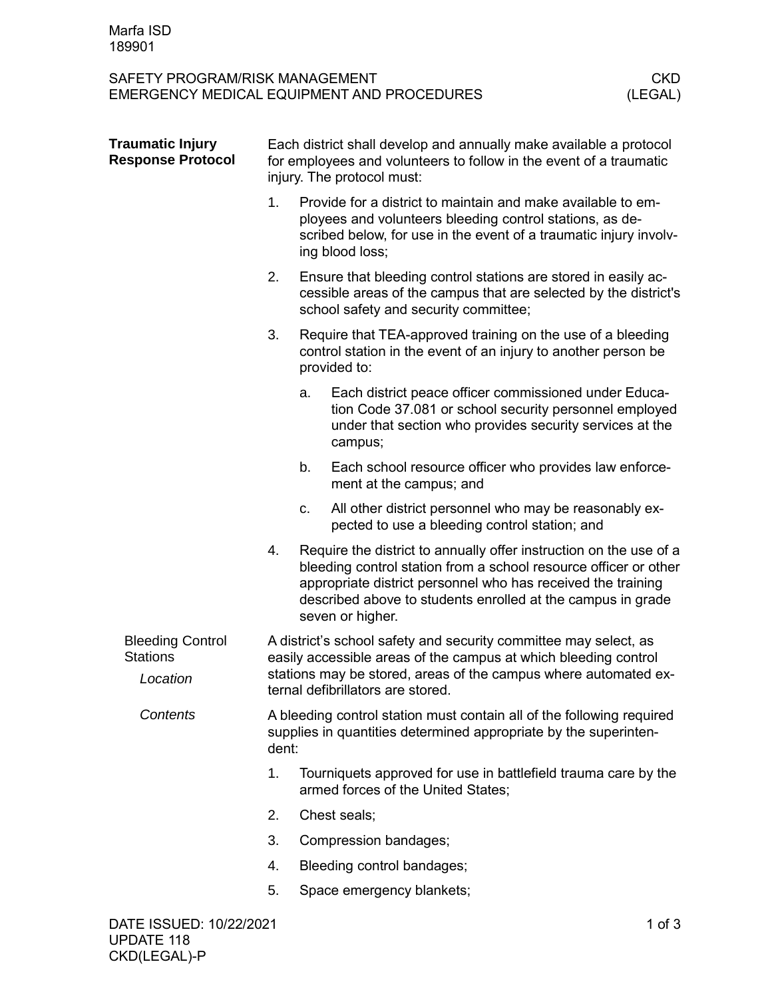| SAFETY PROGRAM/RISK MANAGEMENT                         |                                                                                                                                                                                                                                             |                                                                                                                                                                                                                                                                                           | EMERGENCY MEDICAL EQUIPMENT AND PROCEDURES                                                                                                                                             | <b>CKD</b><br>(LEGAL) |
|--------------------------------------------------------|---------------------------------------------------------------------------------------------------------------------------------------------------------------------------------------------------------------------------------------------|-------------------------------------------------------------------------------------------------------------------------------------------------------------------------------------------------------------------------------------------------------------------------------------------|----------------------------------------------------------------------------------------------------------------------------------------------------------------------------------------|-----------------------|
| <b>Traumatic Injury</b><br><b>Response Protocol</b>    | Each district shall develop and annually make available a protocol<br>for employees and volunteers to follow in the event of a traumatic<br>injury. The protocol must:                                                                      |                                                                                                                                                                                                                                                                                           |                                                                                                                                                                                        |                       |
|                                                        | 1.                                                                                                                                                                                                                                          | Provide for a district to maintain and make available to em-<br>ployees and volunteers bleeding control stations, as de-<br>scribed below, for use in the event of a traumatic injury involv-<br>ing blood loss;                                                                          |                                                                                                                                                                                        |                       |
|                                                        | 2.                                                                                                                                                                                                                                          |                                                                                                                                                                                                                                                                                           | Ensure that bleeding control stations are stored in easily ac-<br>cessible areas of the campus that are selected by the district's<br>school safety and security committee;            |                       |
|                                                        | 3.                                                                                                                                                                                                                                          |                                                                                                                                                                                                                                                                                           | Require that TEA-approved training on the use of a bleeding<br>control station in the event of an injury to another person be<br>provided to:                                          |                       |
|                                                        |                                                                                                                                                                                                                                             | a.                                                                                                                                                                                                                                                                                        | Each district peace officer commissioned under Educa-<br>tion Code 37.081 or school security personnel employed<br>under that section who provides security services at the<br>campus; |                       |
|                                                        |                                                                                                                                                                                                                                             | b.                                                                                                                                                                                                                                                                                        | Each school resource officer who provides law enforce-<br>ment at the campus; and                                                                                                      |                       |
|                                                        |                                                                                                                                                                                                                                             | c.                                                                                                                                                                                                                                                                                        | All other district personnel who may be reasonably ex-<br>pected to use a bleeding control station; and                                                                                |                       |
|                                                        | 4.                                                                                                                                                                                                                                          | Require the district to annually offer instruction on the use of a<br>bleeding control station from a school resource officer or other<br>appropriate district personnel who has received the training<br>described above to students enrolled at the campus in grade<br>seven or higher. |                                                                                                                                                                                        |                       |
| <b>Bleeding Control</b><br><b>Stations</b><br>Location | A district's school safety and security committee may select, as<br>easily accessible areas of the campus at which bleeding control<br>stations may be stored, areas of the campus where automated ex-<br>ternal defibrillators are stored. |                                                                                                                                                                                                                                                                                           |                                                                                                                                                                                        |                       |
| Contents                                               | A bleeding control station must contain all of the following required<br>supplies in quantities determined appropriate by the superinten-<br>dent:                                                                                          |                                                                                                                                                                                                                                                                                           |                                                                                                                                                                                        |                       |
|                                                        | 1.                                                                                                                                                                                                                                          | Tourniquets approved for use in battlefield trauma care by the<br>armed forces of the United States;                                                                                                                                                                                      |                                                                                                                                                                                        |                       |
|                                                        | 2.                                                                                                                                                                                                                                          |                                                                                                                                                                                                                                                                                           | Chest seals;                                                                                                                                                                           |                       |
|                                                        | 3.                                                                                                                                                                                                                                          |                                                                                                                                                                                                                                                                                           | Compression bandages;                                                                                                                                                                  |                       |
|                                                        | 4.                                                                                                                                                                                                                                          |                                                                                                                                                                                                                                                                                           | Bleeding control bandages;                                                                                                                                                             |                       |
|                                                        | 5.                                                                                                                                                                                                                                          |                                                                                                                                                                                                                                                                                           | Space emergency blankets;                                                                                                                                                              |                       |
| DATE ISSUED: 10/22/2021                                |                                                                                                                                                                                                                                             |                                                                                                                                                                                                                                                                                           |                                                                                                                                                                                        | $1$ of $3$            |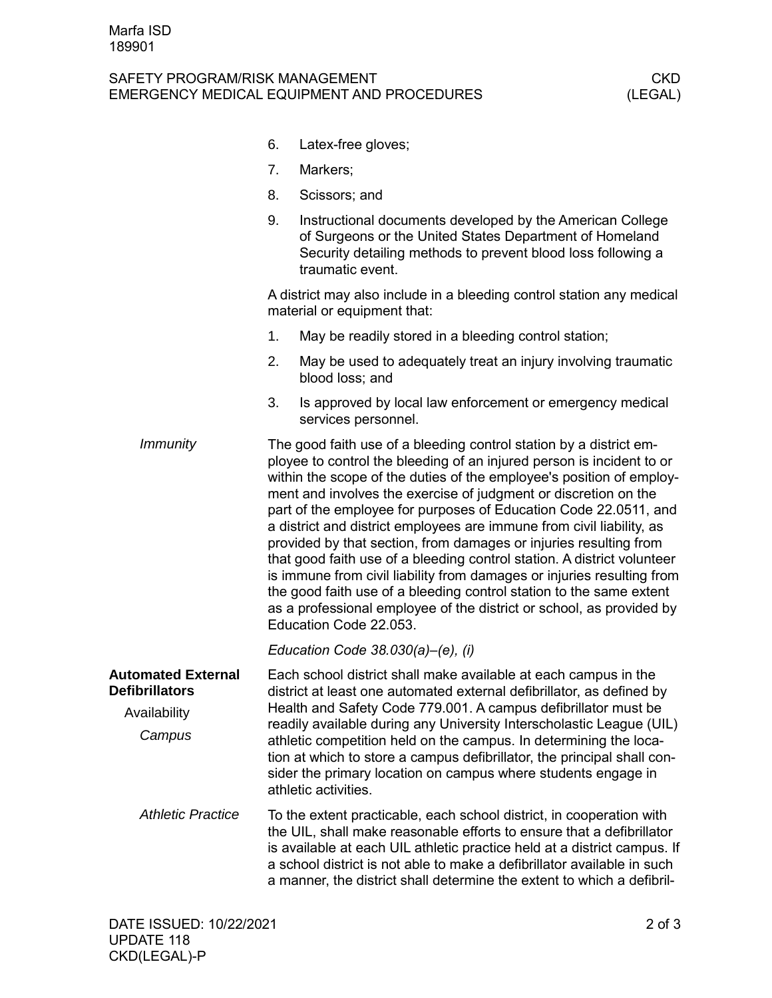## SAFETY PROGRAM/RISK MANAGEMENT<br>EMERGENCY MEDICAL EQUIPMENT AND PROCEDURES (LEGAL) EMERGENCY MEDICAL EQUIPMENT AND PROCEDURES

|                                                                              | 6.                                                                                                                                                                                                                                                                                                                                                                                                                                                                                                                          | Latex-free gloves;                                                                                                                                                                                                                                                                                                                                                                                                                                                                                                                                                                                                                                                                                                                                                                                                                     |  |  |  |
|------------------------------------------------------------------------------|-----------------------------------------------------------------------------------------------------------------------------------------------------------------------------------------------------------------------------------------------------------------------------------------------------------------------------------------------------------------------------------------------------------------------------------------------------------------------------------------------------------------------------|----------------------------------------------------------------------------------------------------------------------------------------------------------------------------------------------------------------------------------------------------------------------------------------------------------------------------------------------------------------------------------------------------------------------------------------------------------------------------------------------------------------------------------------------------------------------------------------------------------------------------------------------------------------------------------------------------------------------------------------------------------------------------------------------------------------------------------------|--|--|--|
|                                                                              | 7.                                                                                                                                                                                                                                                                                                                                                                                                                                                                                                                          | Markers;                                                                                                                                                                                                                                                                                                                                                                                                                                                                                                                                                                                                                                                                                                                                                                                                                               |  |  |  |
|                                                                              | 8.                                                                                                                                                                                                                                                                                                                                                                                                                                                                                                                          | Scissors; and                                                                                                                                                                                                                                                                                                                                                                                                                                                                                                                                                                                                                                                                                                                                                                                                                          |  |  |  |
|                                                                              | 9.                                                                                                                                                                                                                                                                                                                                                                                                                                                                                                                          | Instructional documents developed by the American College<br>of Surgeons or the United States Department of Homeland<br>Security detailing methods to prevent blood loss following a<br>traumatic event.                                                                                                                                                                                                                                                                                                                                                                                                                                                                                                                                                                                                                               |  |  |  |
|                                                                              |                                                                                                                                                                                                                                                                                                                                                                                                                                                                                                                             | A district may also include in a bleeding control station any medical<br>material or equipment that:                                                                                                                                                                                                                                                                                                                                                                                                                                                                                                                                                                                                                                                                                                                                   |  |  |  |
|                                                                              | 1.                                                                                                                                                                                                                                                                                                                                                                                                                                                                                                                          | May be readily stored in a bleeding control station;                                                                                                                                                                                                                                                                                                                                                                                                                                                                                                                                                                                                                                                                                                                                                                                   |  |  |  |
|                                                                              | 2.                                                                                                                                                                                                                                                                                                                                                                                                                                                                                                                          | May be used to adequately treat an injury involving traumatic<br>blood loss; and                                                                                                                                                                                                                                                                                                                                                                                                                                                                                                                                                                                                                                                                                                                                                       |  |  |  |
|                                                                              | 3.                                                                                                                                                                                                                                                                                                                                                                                                                                                                                                                          | Is approved by local law enforcement or emergency medical<br>services personnel.                                                                                                                                                                                                                                                                                                                                                                                                                                                                                                                                                                                                                                                                                                                                                       |  |  |  |
| <b>Immunity</b>                                                              |                                                                                                                                                                                                                                                                                                                                                                                                                                                                                                                             | The good faith use of a bleeding control station by a district em-<br>ployee to control the bleeding of an injured person is incident to or<br>within the scope of the duties of the employee's position of employ-<br>ment and involves the exercise of judgment or discretion on the<br>part of the employee for purposes of Education Code 22.0511, and<br>a district and district employees are immune from civil liability, as<br>provided by that section, from damages or injuries resulting from<br>that good faith use of a bleeding control station. A district volunteer<br>is immune from civil liability from damages or injuries resulting from<br>the good faith use of a bleeding control station to the same extent<br>as a professional employee of the district or school, as provided by<br>Education Code 22.053. |  |  |  |
|                                                                              |                                                                                                                                                                                                                                                                                                                                                                                                                                                                                                                             | Education Code 38.030(a)-(e), (i)                                                                                                                                                                                                                                                                                                                                                                                                                                                                                                                                                                                                                                                                                                                                                                                                      |  |  |  |
| <b>Automated External</b><br><b>Defibrillators</b><br>Availability<br>Campus | Each school district shall make available at each campus in the<br>district at least one automated external defibrillator, as defined by<br>Health and Safety Code 779.001. A campus defibrillator must be<br>readily available during any University Interscholastic League (UIL)<br>athletic competition held on the campus. In determining the loca-<br>tion at which to store a campus defibrillator, the principal shall con-<br>sider the primary location on campus where students engage in<br>athletic activities. |                                                                                                                                                                                                                                                                                                                                                                                                                                                                                                                                                                                                                                                                                                                                                                                                                                        |  |  |  |
| <b>Athletic Practice</b>                                                     |                                                                                                                                                                                                                                                                                                                                                                                                                                                                                                                             | To the extent practicable, each school district, in cooperation with<br>the UIL, shall make reasonable efforts to ensure that a defibrillator<br>is available at each UIL athletic practice held at a district campus. If<br>a school district is not able to make a defibrillator available in such<br>a manner, the district shall determine the extent to which a defibril-                                                                                                                                                                                                                                                                                                                                                                                                                                                         |  |  |  |